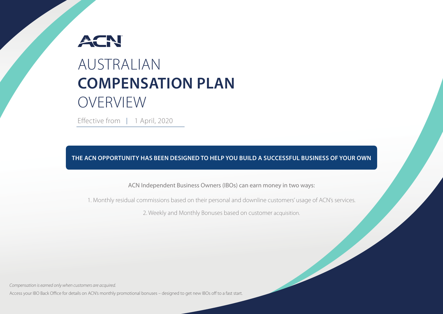# ACN AUSTRALIAN **COMPENSATION PLAN** OVERVIEW

Effective from | 1 April, 2020

**THE ACN OPPORTUNITY HAS BEEN DESIGNED TO HELP YOU BUILD A SUCCESSFUL BUSINESS OF YOUR OWN**

ACN Independent Business Owners (IBOs) can earn money in two ways:

1. Monthly residual commissions based on their personal and downline customers' usage of ACN's services.

2. Weekly and Monthly Bonuses based on customer acquisition.

 $C_{202}$  and  $C_{202}$  and  $C_{202}$  and  $C_{202}$  and  $C_{202}$   $P_{202}$   $P_{202}$   $P_{202}$   $P_{202}$   $P_{202}$   $P_{202}$   $P_{202}$   $P_{202}$   $P_{202}$   $P_{202}$   $P_{202}$   $P_{202}$   $P_{202}$   $P_{202}$   $P_{202}$   $P_{202}$   $P_{202}$   $P_{202}$ 

*Compensation is earned only when customers are acquired.*

Access your IBO Back Office for details on ACN's monthly promotional bonuses – designed to get new IBOs off to a fast start.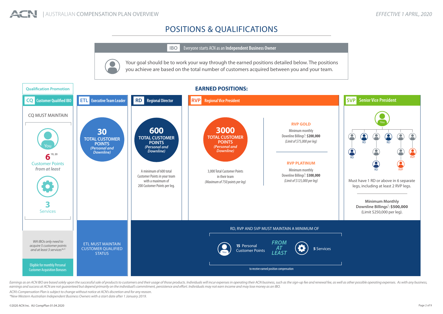# POSITIONS & QUALIFICATIONS

**IBO** Everyone starts ACN as an **Independent Business Owner**

Your goal should be to work your way through the earned positions detailed below. The positions you achieve are based on the total number of customers acquired between you and your team.



Earnings as an ACN IBO are based solely upon the successful sale of products to customers and their usage of those products. Individuals will incur expenses in operating their ACN business, such as the sign-up fee and rene *earnings and success at ACN are not guaranteed but depend primarily on the individual's commitment, persistence and effort. Individuals may not earn income and may lose money as an IBO.*

*ACN's Compensation Plan is subject to change without notice at ACN's discretion and for any reason.*

*\*New Western Australian Independent Business Owners with a start date after 1 January 2019.*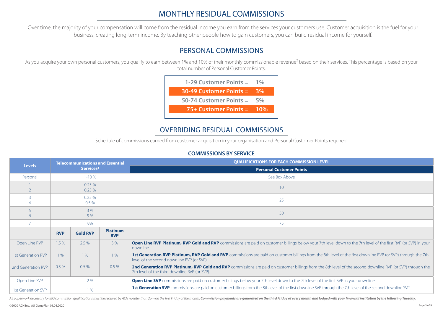# MONTHLY RESIDUAL COMMISSIONS

Over time, the majority of your compensation will come from the residual income you earn from the services your customers use. Customer acquisition is the fuel for your business, creating long-term income. By teaching other people how to gain customers, you can build residual income for yourself.

# PERSONAL COMMISSIONS

As you acquire your own personal customers, you qualify to earn between 1% and 10% of their monthly commissionable revenue<sup>2</sup> based on their services. This percentage is based on your total number of Personal Customer Points:



# OVERRIDING RESIDUAL COMMISSIONS

Schedule of commissions earned from customer acquisition in your organisation and Personal Customer Points required:

### **COMMISSIONS BY SERVICE**

| <b>Levels</b>      | <b>Telecommunications and Essential</b><br>Services <sup>3</sup> |                  |                               | <b>QUALIFICATIONS FOR EACH COMMISSION LEVEL</b>                                                                                                                                                             |  |  |  |  |
|--------------------|------------------------------------------------------------------|------------------|-------------------------------|-------------------------------------------------------------------------------------------------------------------------------------------------------------------------------------------------------------|--|--|--|--|
|                    |                                                                  |                  |                               | <b>Personal Customer Points</b>                                                                                                                                                                             |  |  |  |  |
| Personal           |                                                                  | $1 - 10%$        |                               | See Box Above                                                                                                                                                                                               |  |  |  |  |
|                    |                                                                  | 0.25%<br>0.25%   |                               | 10 <sup>°</sup>                                                                                                                                                                                             |  |  |  |  |
|                    |                                                                  | 0.25%<br>$0.5\%$ |                               | 25                                                                                                                                                                                                          |  |  |  |  |
| 6                  |                                                                  | 3 %<br>5 %       |                               | 50                                                                                                                                                                                                          |  |  |  |  |
|                    |                                                                  | 8%               |                               | 75                                                                                                                                                                                                          |  |  |  |  |
|                    | <b>RVP</b>                                                       | <b>Gold RVP</b>  | <b>Platinum</b><br><b>RVP</b> |                                                                                                                                                                                                             |  |  |  |  |
| Open Line RVP      | 1.5 %                                                            | 2.5 %            | 3 %                           | <b>Open Line RVP Platinum, RVP Gold and RVP</b> commissions are paid on customer billings below your 7th level down to the 7th level of the first RVP (or SVP) in your<br>downline.                         |  |  |  |  |
| 1st Generation RVP | $1\%$                                                            | 1%               | 1%                            | 1st Generation RVP Platinum, RVP Gold and RVP commissions are paid on customer billings from the 8th level of the first downline RVP (or SVP) through the 7th<br>level of the second downline RVP (or SVP). |  |  |  |  |
| 2nd Generation RVP | 0.5%                                                             | $0.5\%$          | 0.5%                          | 2nd Generation RVP Platinum, RVP Gold and RVP commissions are paid on customer billings from the 8th level of the second downline RVP (or SVP) through the<br>7th level of the third downline RVP (or SVP). |  |  |  |  |
| Open Line SVP      |                                                                  | 2 %              |                               | <b>Open Line SVP</b> commissions are paid on customer billings below your 7th level down to the 7th level of the first SVP in your downline.                                                                |  |  |  |  |
| 1st Generation SVP |                                                                  | 1%               |                               | 1st Generation SVP commissions are paid on customer billings from the 8th level of the first downline SVP through the 7th level of the second downline SVP.                                                 |  |  |  |  |

All paperwork necessary for IBO commission qualifications must be received by ACN no later than 2pm on the first Friday of the month. Commission payments are generated on the third Friday of every month and lodged with you

©2020 ACN Inc. AU CompPlan 01.04.2020 Page 3 of 9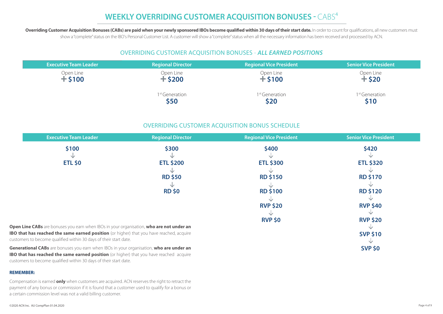# **WEEKLY OVERRIDING CUSTOMER ACQUISITION BONUSES - CABS<sup>4</sup>**

Overriding Customer Acquisition Bonuses (CABs) are paid when your newly sponsored IBOs become qualified within 30 days of their start date. In order to count for qualifications, all new customers must show a "complete" status on the IBO's Personal Customer List. A customer will show a "complete" status when all the necessary information has been received and processed by ACN.

### OVERRIDING CUSTOMER ACQUISITION BONUSES - *ALL EARNED POSITIONS*

| <b>Executive Team Leader</b> | <b>Regional Director</b> | <b>Regional Vice President</b> | <b>Senior Vice President</b> |
|------------------------------|--------------------------|--------------------------------|------------------------------|
| Open Line                    | Open Line                | Open Line                      | Open Line                    |
| $+$ \$100                    | $+$ \$200                | $+$ \$100                      | $+$ \$20                     |
|                              | <sup>st</sup> Generation | 1 <sup>st</sup> Generation     | 1 <sup>st</sup> Generation   |
|                              | \$50                     | \$20                           | \$10                         |

### OVERRIDING CUSTOMER ACQUISITION BONUS SCHEDULE

| <b>Executive Team Leader</b>                                                                                                                                                              | <b>Regional Director</b> | <b>Regional Vice President</b> | <b>Senior Vice President</b> |
|-------------------------------------------------------------------------------------------------------------------------------------------------------------------------------------------|--------------------------|--------------------------------|------------------------------|
| \$100                                                                                                                                                                                     | \$300                    | \$400                          | \$420                        |
|                                                                                                                                                                                           |                          |                                |                              |
| <b>ETL \$0</b>                                                                                                                                                                            | <b>ETL \$200</b>         | <b>ETL \$300</b>               | <b>ETL \$320</b>             |
|                                                                                                                                                                                           |                          |                                |                              |
|                                                                                                                                                                                           | <b>RD \$50</b>           | <b>RD \$150</b>                | <b>RD \$170</b>              |
|                                                                                                                                                                                           |                          |                                |                              |
|                                                                                                                                                                                           | <b>RD \$0</b>            | <b>RD \$100</b>                | <b>RD \$120</b>              |
|                                                                                                                                                                                           |                          |                                |                              |
|                                                                                                                                                                                           |                          | <b>RVP \$20</b>                | <b>RVP \$40</b>              |
|                                                                                                                                                                                           |                          |                                |                              |
|                                                                                                                                                                                           |                          | <b>RVP \$0</b>                 | <b>RVP \$20</b>              |
| Open Line CABs are bonuses you earn when IBOs in your organisation, who are not under an                                                                                                  |                          |                                |                              |
| <b>IBO that has reached the same earned position</b> (or higher) that you have reached, acquire<br>customers to become qualified within 30 days of their start date.                      |                          |                                | <b>SVP \$10</b>              |
| Generational CABs are bonuses you earn when IBOs in your organisation, who are under an<br><b>IBO that has reached the same earned position</b> (or higher) that you have reached acquire |                          |                                | <b>SVP \$0</b>               |

#### **REMEMBER:**

Compensation is earned **only** when customers are acquired. ACN reserves the right to retract the payment of any bonus or commission if it is found that a customer used to qualify for a bonus or a certain commission level was not a valid billing customer.

customers to become qualified within 30 days of their start date.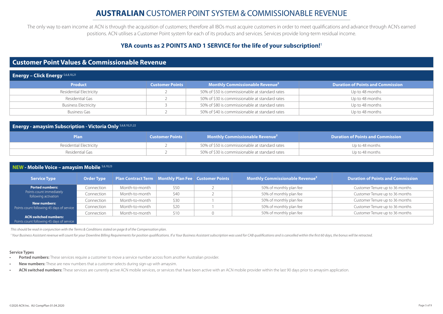The only way to earn income at ACN is through the acquisition of customers; therefore all IBOs must acquire customers in order to meet qualifications and advance through ACN's earned positions. ACN utilises a Customer Point system for each of its products and services. Services provide long-term residual income.

### **YBA counts as 2 POINTS AND 1 SERVICE for the life of your subscription!**<sup>1</sup>

### **Customer Point Values & Commissionable Revenue**

| <b>Energy - Click Energy</b> 5,6,8,10,21 |                        |                                                   |                                          |  |  |  |
|------------------------------------------|------------------------|---------------------------------------------------|------------------------------------------|--|--|--|
| <b>Product</b>                           | <b>Customer Points</b> | <b>Monthly Commissionable Revenue<sup>2</sup></b> | <b>Duration of Points and Commission</b> |  |  |  |
| Residential Electricity                  |                        | 50% of \$50 is commissionable at standard rates   | Up to 48 months                          |  |  |  |
| Residential Gas                          |                        | 50% of \$30 is commissionable at standard rates   | Up to 48 months                          |  |  |  |
| <b>Business Electricity</b>              |                        | 50% of \$80 is commissionable at standard rates   | Up to 48 months                          |  |  |  |
| <b>Business Gas</b>                      |                        | 50% of \$40 is commissionable at standard rates   | Up to 48 months                          |  |  |  |

| <b>Energy - amaysim Subscription - Victoria Only 5,6,8,10,21,22</b> |                        |                                                    |                                          |  |  |  |  |
|---------------------------------------------------------------------|------------------------|----------------------------------------------------|------------------------------------------|--|--|--|--|
| <b>Plan</b>                                                         | <b>Customer Points</b> | <b>Monthly Commissionable Revenue</b> <sup>2</sup> | <b>Duration of Points and Commission</b> |  |  |  |  |
| Residential Electricity                                             |                        | 50% of \$50 is commissionable at standard rates    | Up to 48 months                          |  |  |  |  |
| Residential Gas                                                     |                        | 50% of \$30 is commissionable at standard rates    | Up to 48 months                          |  |  |  |  |

| <b>NEW - Mobile Voice - amaysim Mobile 5,6,10,23</b> |  |
|------------------------------------------------------|--|
|------------------------------------------------------|--|

| <b>Service Type</b>                                                       | <b>Order Type</b> | Plan Contract Term   Monthly Plan Fee   Customer Points |      | Monthly Commissionable Revenue <sup>2</sup> | <b>Duration of Points and Commission</b> |
|---------------------------------------------------------------------------|-------------------|---------------------------------------------------------|------|---------------------------------------------|------------------------------------------|
| <b>Ported numbers:</b>                                                    | Connection        | Month-to-month                                          | \$50 | 50% of monthly plan fee                     | Customer Tenure up to 36 months          |
| Points count immediately<br>following activation                          | Connection        | Month-to-month                                          | \$40 | 50% of monthly plan fee                     | Customer Tenure up to 36 months          |
| <b>New numbers:</b>                                                       | Connection        | Month-to-month                                          | \$30 | 50% of monthly plan fee                     | Customer Tenure up to 36 months          |
| Points count following 45 days of service                                 | Connection        | Month-to-month                                          | \$20 | 50% of monthly plan fee                     | Customer Tenure up to 36 months          |
|                                                                           | Connection        | Month-to-month                                          | \$10 | 50% of monthly plan fee                     | Customer Tenure up to 36 months          |
| <b>ACN switched numbers:</b><br>Points count following 45 days of service |                   |                                                         |      |                                             |                                          |

*This should be read in conjunction with the Terms & Conditions stated on page 8 of the Compensation plan.* 

<sup>1</sup> Your Business Assistant revenue will count for your Downline Billing Requirements for position qualifications. If a Your Business Assistant subscription was used for CAB qualifications and is cancelled within the first

#### **Service Types**

- **• Ported numbers:** These services require a customer to move a service number across from another Australian provider.
- **• New numbers:** These are new numbers that a customer selects during sign-up with amaysim.
- **ACN switched numbers:** These services are currently active ACN mobile services, or services that have been active with an ACN mobile provider within the last 90 days prior to amaysim application.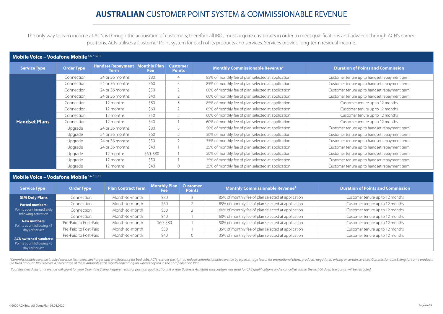The only way to earn income at ACN is through the acquisition of customers; therefore all IBOs must acquire customers in order to meet qualifications and advance through ACN's earned positions. ACN utilises a Customer Point system for each of its products and services. Services provide long-term residual income.

### **Mobile Voice – Vodafone Mobile** 5,6,7,10,11

| <b>Service Type</b>  | <b>Order Type</b> | <b>Handset Repayment   Monthly Plan  </b><br>Term | <b>Fee</b> | <b>Customer</b><br><b>Points</b> | <b>Monthly Commissionable Revenue<sup>2</sup></b>  | <b>Duration of Points and Commission</b>     |
|----------------------|-------------------|---------------------------------------------------|------------|----------------------------------|----------------------------------------------------|----------------------------------------------|
|                      | Connection        | 24 or 36 months                                   | \$80       | 4                                | 85% of monthly fee of plan selected at application | Customer tenure up to handset repayment term |
|                      | Connection        | 24 or 36 months                                   | \$60       | $\mathcal{R}$                    | 85% of monthly fee of plan selected at application | Customer tenure up to handset repayment term |
|                      | Connection        | 24 or 36 months                                   | \$50       |                                  | 60% of monthly fee of plan selected at application | Customer tenure up to handset repayment term |
|                      | Connection        | 24 or 36 months                                   | \$40       | $\mathfrak{D}$                   | 60% of monthly fee of plan selected at application | Customer tenure up to handset repayment term |
|                      | Connection        | 12 months                                         | \$80       | $\mathcal{L}$                    | 85% of monthly fee of plan selected at application | Customer tenure up to 12 months              |
|                      | Connection        | 12 months                                         | \$60       |                                  | 85% of monthly fee of plan selected at application | Customer tenure up to 12 months              |
|                      | Connection        | 12 months                                         | \$50       |                                  | 60% of monthly fee of plan selected at application | Customer tenure up to 12 months              |
| <b>Handset Plans</b> | Connection        | 12 months                                         | \$40       |                                  | 60% of monthly fee of plan selected at application | Customer tenure up to 12 months              |
|                      | Upgrade           | 24 or 36 months                                   | \$80       | 3                                | 50% of monthly fee of plan selected at application | Customer tenure up to handset repayment term |
|                      | Upgrade           | 24 or 36 months                                   | \$60       | $\mathcal{P}$                    | 50% of monthly fee of plan selected at application | Customer tenure up to handset repayment term |
|                      | Upgrade           | 24 or 36 months                                   | \$50       |                                  | 35% of monthly fee of plan selected at application | Customer tenure up to handset repayment term |
|                      | Upgrade           | 24 or 36 months                                   | \$40       |                                  | 35% of monthly fee of plan selected at application | Customer tenure up to handset repayment term |
|                      | Upgrade           | 12 months                                         | \$60, \$80 |                                  | 50% of monthly fee of plan selected at application | Customer tenure up to handset repayment term |
|                      | Upgrade           | 12 months                                         | \$50       |                                  | 35% of monthly fee of plan selected at application | Customer tenure up to handset repayment term |
|                      | Upgrade           | 12 months                                         | \$40       | $\Omega$                         | 35% of monthly fee of plan selected at application | Customer tenure up to handset repayment term |

### **Mobile Voice – Vodafone Mobile** 5,6,7,10,11

| <b>Service Type</b>                                                          | <b>Order Type</b>     | <b>Plan Contract Term</b> | <b>Monthly Plan</b><br>Fee | <b>Customer</b><br><b>Points</b> | <b>Monthly Commissionable Revenue<sup>2</sup></b>  | <b>Duration of Points and Commission</b> |
|------------------------------------------------------------------------------|-----------------------|---------------------------|----------------------------|----------------------------------|----------------------------------------------------|------------------------------------------|
| <b>SIM Only Plans</b>                                                        | Connection            | Month-to-month            | \$80                       |                                  | 85% of monthly fee of plan selected at application | Customer tenure up to 12 months          |
| <b>Ported numbers:</b>                                                       | Connection            | Month-to-month            | \$60                       |                                  | 85% of monthly fee of plan selected at application | Customer tenure up to 12 months          |
| Points count immediately                                                     | Connection            | Month-to-month            | \$50                       |                                  | 60% of monthly fee of plan selected at application | Customer tenure up to 12 months          |
| following activation                                                         | Connection            | Month-to-month            | \$40                       |                                  | 60% of monthly fee of plan selected at application | Customer tenure up to 12 months          |
| <b>New numbers:</b><br>Points count following 45                             | Pre-Paid to Post-Paid | Month-to-month            | \$60, \$80                 |                                  | 50% of monthly fee of plan selected at application | Customer tenure up to 12 months          |
| days of service                                                              | Pre-Paid to Post-Paid | Month-to-month            | \$50                       |                                  | 35% of monthly fee of plan selected at application | Customer tenure up to 12 months          |
|                                                                              | Pre-Paid to Post-Paid | Month-to-month            | \$40                       |                                  | 35% of monthly fee of plan selected at application | Customer tenure up to 12 months          |
| <b>ACN switched numbers:</b><br>Points count following 45<br>days of service |                       |                           |                            |                                  |                                                    |                                          |

\*Commissionable revenue is billed revenue less taxes, surcharges and an allowance for bad debt. ACN reserves the right to reduce commissionable revenue by a percentage factor for promotional plans, products, negotiated pri

<sup>1</sup> Your Business Assistant revenue will count for your Downline Billing Requirements for position qualifications. If a Your Business Assistant subscription was used for CAB qualifications and is cancelled within the first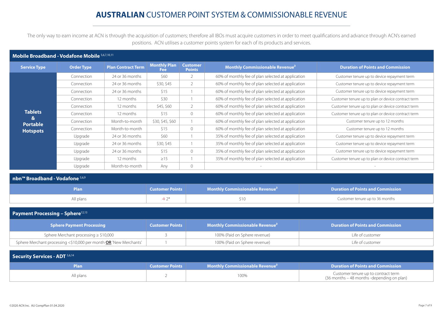The only way to earn income at ACN is through the acquisition of customers; therefore all IBOs must acquire customers in order to meet qualifications and advance through ACN's earned positions. ACN utilises a customer points system for each of its products and services.

### **Mobile Broadband - Vodafone Mobile** 5,6,7,10,11

| Service Type         | <b>Order Type</b> | <b>Plan Contract Term</b> | <b>Monthly Plan</b><br>Fee: | <b>Customer</b><br><b>Points</b> | <b>Monthly Commissionable Revenue<sup>2</sup></b>  | <b>Duration of Points and Commission</b>           |
|----------------------|-------------------|---------------------------|-----------------------------|----------------------------------|----------------------------------------------------|----------------------------------------------------|
|                      | Connection        | 24 or 36 months           | \$60                        |                                  | 60% of monthly fee of plan selected at application | Customer tenure up to device repayment term        |
|                      | Connection        | 24 or 36 months           | \$30, \$45                  |                                  | 60% of monthly fee of plan selected at application | Customer tenure up to device repayment term        |
|                      | Connection        | 24 or 36 months           | \$15                        |                                  | 60% of monthly fee of plan selected at application | Customer tenure up to device repayment term        |
|                      | Connection        | 12 months                 | \$30                        |                                  | 60% of monthly fee of plan selected at application | Customer tenure up to plan or device contract term |
| <b>Tablets</b>       | Connection        | 12 months                 | \$45, \$60                  |                                  | 60% of monthly fee of plan selected at application | Customer tenure up to plan or device contract term |
|                      | Connection        | 12 months                 | \$15                        | $\Omega$                         | 60% of monthly fee of plan selected at application | Customer tenure up to plan or device contract term |
| &<br><b>Portable</b> | Connection        | Month-to-month            | \$30, \$45, \$60            |                                  | 60% of monthly fee of plan selected at application | Customer tenure up to 12 months                    |
| <b>Hotspots</b>      | Connection        | Month-to-month            | \$15                        | $\circ$                          | 60% of monthly fee of plan selected at application | Customer tenure up to 12 months                    |
|                      | Upgrade           | 24 or 36 months           | \$60                        |                                  | 35% of monthly fee of plan selected at application | Customer tenure up to device repayment term        |
|                      | Upgrade           | 24 or 36 months           | \$30, \$45                  |                                  | 35% of monthly fee of plan selected at application | Customer tenure up to device repayment term        |
|                      | Upgrade           | 24 or 36 months           | \$15                        | $\Omega$                         | 35% of monthly fee of plan selected at application | Customer tenure up to device repayment term        |
|                      | Upgrade           | 12 months                 | $\geq$ 15                   |                                  | 35% of monthly fee of plan selected at application | Customer tenure up to plan or device contract term |
|                      | Upgrade           | Month-to-month            | Any                         | 0                                |                                                    |                                                    |

| nbn™ Broadband - Vodafone 5,6,9 |  |                                                                                               |                                          |  |  |  |  |
|---------------------------------|--|-----------------------------------------------------------------------------------------------|------------------------------------------|--|--|--|--|
| <b>Plan</b>                     |  | <b>Customer Points   <math>\blacksquare</math> Monthly Commissionable Revenue<sup>2</sup></b> | <b>Duration of Points and Commission</b> |  |  |  |  |
| All plans                       |  | STO.                                                                                          | Customer tenure up to 36 months          |  |  |  |  |
|                                 |  |                                                                                               |                                          |  |  |  |  |

### **Payment Processing - Sphere**<sup>12,13</sup>

| Sphere Payment Processing                                                | <b>Customer Points</b> | <b>Monthly Commissionable Revenue<sup>2</sup></b> | <b>Duration of Points and Commission</b> |
|--------------------------------------------------------------------------|------------------------|---------------------------------------------------|------------------------------------------|
| Sphere Merchant processing $\geq$ \$10,000                               |                        | 100% (Paid on Sphere revenue)                     | Life of customer                         |
| Sphere Merchant processing <\$10,000 per month <b>OR</b> 'New Merchants' |                        | 100% (Paid on Sphere revenue)                     | Life of customer                         |

| Security Services - ADT 5,6,14 |                        |                                                                   |                                                                                   |  |  |  |  |  |
|--------------------------------|------------------------|-------------------------------------------------------------------|-----------------------------------------------------------------------------------|--|--|--|--|--|
| Plan                           | <b>Customer Points</b> | $\blacksquare$ Monthly Commissionable Revenue $^2$ $\blacksquare$ | <b>Duration of Points and Commission</b>                                          |  |  |  |  |  |
| All plans                      |                        | 100%                                                              | Customer tenure up to contract term<br>(36 months – 48 months -depending on plan) |  |  |  |  |  |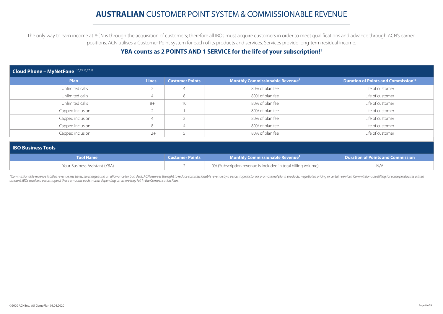The only way to earn income at ACN is through the acquisition of customers; therefore all IBOs must acquire customers in order to meet qualifications and advance through ACN's earned positions. ACN utilises a Customer Point system for each of its products and services. Services provide long-term residual income.

### **YBA counts as 2 POINTS AND 1 SERVICE for the life of your subscription!**<sup>1</sup>

| Cloud Phone - MyNetFone 10,15,16,17,18 |              |                        |                                                   |                                                       |  |  |  |
|----------------------------------------|--------------|------------------------|---------------------------------------------------|-------------------------------------------------------|--|--|--|
| <b>Plan</b>                            | <b>Lines</b> | <b>Customer Points</b> | <b>Monthly Commissionable Revenue<sup>2</sup></b> | <b>Duration of Points and Commission<sup>18</sup></b> |  |  |  |
| Unlimited calls                        |              | $\overline{4}$         | 80% of plan fee                                   | Life of customer                                      |  |  |  |
| Unlimited calls                        |              | 8                      | 80% of plan fee                                   | Life of customer                                      |  |  |  |
| Unlimited calls                        | $8+$         | 10 <sup>°</sup>        | 80% of plan fee                                   | Life of customer                                      |  |  |  |
| Capped inclusion                       |              |                        | 80% of plan fee                                   | Life of customer                                      |  |  |  |
| Capped inclusion                       |              |                        | 80% of plan fee                                   | Life of customer                                      |  |  |  |
| Capped inclusion                       | 8            | $\overline{4}$         | 80% of plan fee                                   | Life of customer                                      |  |  |  |
| Capped inclusion                       | $12+$        |                        | 80% of plan fee                                   | Life of customer                                      |  |  |  |

#### **IBO Business Tools**

| <b>Nool Name</b>              | <b>Customer Points</b> | <b>Monthly Commissionable Revenue<sup>2</sup></b>             | <b>Duration of Points and Commission</b> |
|-------------------------------|------------------------|---------------------------------------------------------------|------------------------------------------|
| Your Business Assistant (YBA) |                        | 0% (Subscription revenue is included in total billing volume) | N/A                                      |

\*Commissionable revenue is billed revenue less taxes, surcharges and an allowance for bad debt. ACN reserves the right to reduce commissionable revenue by a percentage factor for promotional plans, products, negotiated pri *amount. IBOs receive a percentage of these amounts each month depending on where they fall in the Compensation Plan.*